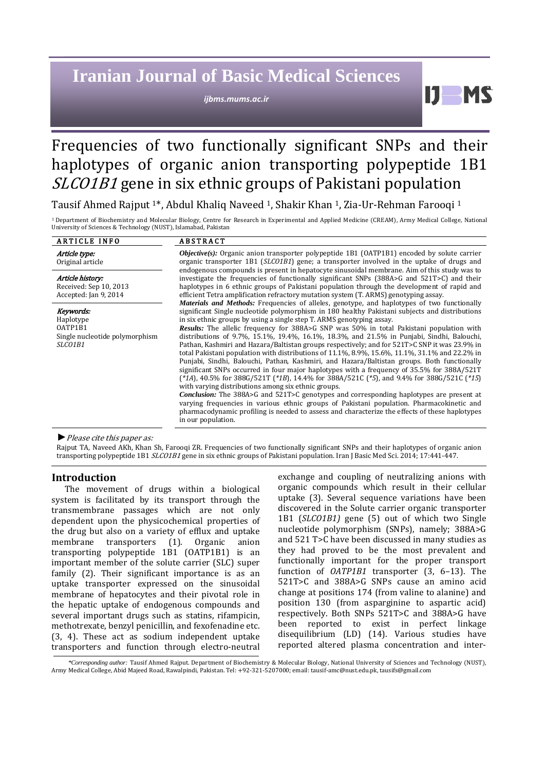# **Iranian Journal of Basic Medical Sciences**

*ijbms.mums.ac.ir*

## Frequencies of two functionally significant SNPs and their haplotypes of organic anion transporting polypeptide 1B1 SLCO1B1 gene in six ethnic groups of Pakistani population

Tausif Ahmed Rajput 1\*, Abdul Khaliq Naveed 1, Shakir Khan 1, Zia-Ur-Rehman Farooqi 1

1 Department of Biochemistry and Molecular Biology, Centre for Research in Experimental and Applied Medicine (CREAM), Army Medical College, National University of Sciences & Technology (NUST), Islamabad, Pakistan

| <b>ARTICLE INFO</b>                                                            | <b>ABSTRACT</b>                                                                                                                                                                                                                                                                                                                                                                                                                                                                                                                                                                                                                                                                                                                                                                                                                                                                                                                                                                                                                                                                                                                                                                                                                                            |
|--------------------------------------------------------------------------------|------------------------------------------------------------------------------------------------------------------------------------------------------------------------------------------------------------------------------------------------------------------------------------------------------------------------------------------------------------------------------------------------------------------------------------------------------------------------------------------------------------------------------------------------------------------------------------------------------------------------------------------------------------------------------------------------------------------------------------------------------------------------------------------------------------------------------------------------------------------------------------------------------------------------------------------------------------------------------------------------------------------------------------------------------------------------------------------------------------------------------------------------------------------------------------------------------------------------------------------------------------|
| Article type:<br>Original article                                              | $Objective(s)$ : Organic anion transporter polypeptide 1B1 (OATP1B1) encoded by solute carrier<br>organic transporter 1B1 (SLCO1B1) gene; a transporter involved in the uptake of drugs and<br>endogenous compounds is present in hepatocyte sinusoidal membrane. Aim of this study was to                                                                                                                                                                                                                                                                                                                                                                                                                                                                                                                                                                                                                                                                                                                                                                                                                                                                                                                                                                 |
| Article history:<br>Received: Sep 10, 2013<br>Accepted: Jan 9, 2014            | investigate the frequencies of functionally significant SNPs $(388A>6$ and $521T>C)$ and their<br>haplotypes in 6 ethnic groups of Pakistani population through the development of rapid and<br>efficient Tetra amplification refractory mutation system (T. ARMS) genotyping assay.<br><b>Materials and Methods:</b> Frequencies of alleles, genotype, and haplotypes of two functionally                                                                                                                                                                                                                                                                                                                                                                                                                                                                                                                                                                                                                                                                                                                                                                                                                                                                 |
| Keywords:<br>Haplotype<br>OATP1B1<br>Single nucleotide polymorphism<br>SLCO1B1 | significant Single nucleotide polymorphism in 180 healthy Pakistani subjects and distributions<br>in six ethnic groups by using a single step T. ARMS genotyping assay.<br><b>Results:</b> The allelic frequency for 388A>G SNP was 50% in total Pakistani population with<br>distributions of 9.7%, 15.1%, 19.4%, 16.1%, 18.3%, and 21.5% in Punjabi, Sindhi, Balouchi,<br>Pathan, Kashmiri and Hazara/Baltistan groups respectively; and for 521T>C SNP it was 23.9% in<br>total Pakistani population with distributions of $11.1\%$ , 8.9%, 15.6%, 11.1%, 31.1% and 22.2% in<br>Punjabi, Sindhi, Balouchi, Pathan, Kashmiri, and Hazara/Baltistan groups. Both functionally<br>significant SNPs occurred in four major haplotypes with a frequency of 35.5% for 388A/521T<br>$(*1A)$ , 40.5% for 388G/521T $(*1B)$ , 14.4% for 388A/521C $(*5)$ , and 9.4% for 388G/521C $(*15)$<br>with varying distributions among six ethnic groups.<br>Conclusion: The 388A>G and 521T>C genotypes and corresponding haplotypes are present at<br>varying frequencies in various ethnic groups of Pakistani population. Pharmacokinetic and<br>pharmacodynamic profiling is needed to assess and characterize the effects of these haplotypes<br>in our population. |
|                                                                                |                                                                                                                                                                                                                                                                                                                                                                                                                                                                                                                                                                                                                                                                                                                                                                                                                                                                                                                                                                                                                                                                                                                                                                                                                                                            |

*►*Please cite this paper as:

Rajput TA, Naveed AKh, Khan Sh, Farooqi ZR. Frequencies of two functionally significant SNPs and their haplotypes of organic anion transporting polypeptide 1B1 SLCO1B1 gene in six ethnic groups of Pakistani population. Iran J Basic Med Sci. 2014; 17:441-447.

#### **Introduction**

The movement of drugs within a biological system is facilitated by its transport through the transmembrane passages which are not only dependent upon the physicochemical properties of the drug but also on a variety of efflux and uptake<br>membrane transporters (1). Organic anion membrane transporters (1). Organic anion transporting polypeptide 1B1 (OATP1B1) is an important member of the solute carrier (SLC) super family (2). Their significant importance is as an uptake transporter expressed on the sinusoidal membrane of hepatocytes and their pivotal role in the hepatic uptake of endogenous compounds and several important drugs such as statins, rifampicin, methotrexate, benzyl penicillin, and fexofenadine etc. (3, 4). These act as sodium independent uptake transporters and function through electro-neutral

exchange and coupling of neutralizing anions with organic compounds which result in their cellular uptake (3). Several sequence variations have been discovered in the Solute carrier organic transporter 1B1 (*SLCO1B1)* gene (5) out of which two Single nucleotide polymorphism (SNPs), namely; 388A>G and 521 T>C have been discussed in many studies as they had proved to be the most prevalent and functionally important for the proper transport function of *OATP1B1* transporter (3, 6–13). The 521T>C and 388A>G SNPs cause an amino acid change at positions 174 (from valine to alanine) and position 130 (from asparginine to aspartic acid) respectively. Both SNPs 521T>C and 388A>G have been reported to exist in perfect linkage disequilibrium (LD) (14). Various studies have reported altered plasma concentration and inter-

 $\mathbf{D}$ 

*\*Corresponding author:* Tausif Ahmed Rajput. Department of Biochemistry & Molecular Biology, National University of Sciences and Technology (NUST), Army Medical College, Abid Majeed Road, Rawalpindi, Pakistan. Tel: +92-321-5207000; email[: tausif-amc@nust.edu.pk,](mailto:tausif-amc@nust.edu.pk) [tausifs@gmail.com](mailto:tausifs@gmail.com)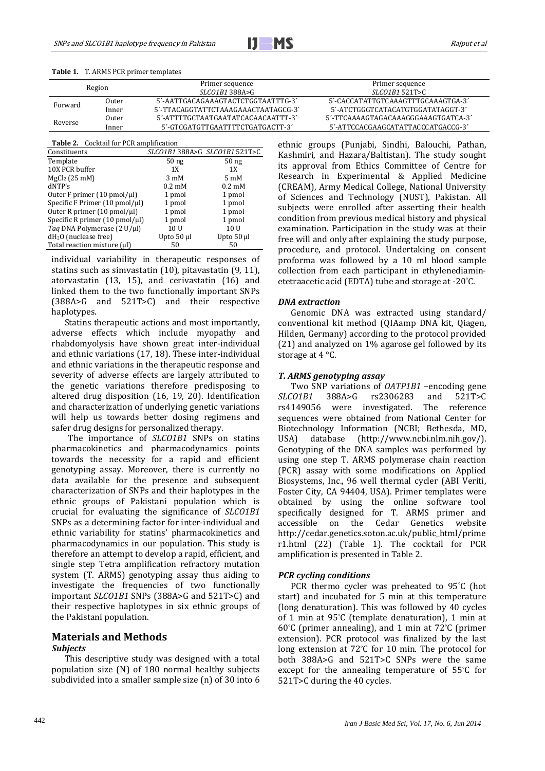| 5'-AATTGACAGAAAGTACTCTGGTAATTTG-3'<br>Outer            |                                     |
|--------------------------------------------------------|-------------------------------------|
| Forward                                                | 5'-CACCATATTGTCAAAGTTTGCAAAGTGA-3'  |
| 5'-TTACAGGTATTCTAAAGAAACTAATAGCG-3'<br>Inner           | 5'-ATCTGGGTCATACATGTGGATATAGGT-3'   |
| 5'-ATTTTGCTAATGAATATCACAACAATTT-3'<br>Outer<br>Reverse | 5'-TTCAAAAGTAGACAAAGGGAAAGTGATCA-3' |
| 5'-GTCGATGTTGAATTTTCTGATGACTT-3'<br>Inner              | 5'-ATTCCACGAAGCATATTACCCATGACCG-3'  |

#### **Table 1.** T. ARMS PCR primer templates

**Table 2.** Cocktail for PCR amplification

|                            | SLC01B1 388A>G SLC01B1 521T>C                                                 |
|----------------------------|-------------------------------------------------------------------------------|
| 50 <sub>ng</sub>           | 50 <sub>ng</sub>                                                              |
| 1X                         | 1X                                                                            |
| $3 \text{ mM}$             | $5 \text{ mM}$                                                                |
| $0.2 \text{ }\mathrm{m}$ M | $0.2 \text{ }\mathrm{m}$ M                                                    |
| 1 pmol                     | 1 pmol                                                                        |
| 1 pmol                     | 1 pmol                                                                        |
| 1 pmol                     | 1 pmol                                                                        |
| 1 pmol                     | 1 pmol                                                                        |
| 10 U                       | 10 U                                                                          |
| Upto 50 µl                 | Upto 50 µl                                                                    |
| 50                         | 50                                                                            |
|                            | Specific F Primer (10 pmol/µl)<br>Specific R primer $(10 \text{ pmol}/\mu l)$ |

individual variability in therapeutic responses of statins such as simvastatin (10), pitavastatin (9, 11), atorvastatin (13, 15), and cerivastatin (16) and linked them to the two functionally important SNPs (388A>G and 521T>C) and their respective haplotypes.

Statins therapeutic actions and most importantly, adverse effects which include myopathy and rhabdomyolysis have shown great inter-individual and ethnic variations (17, [18\)](#page-6-0). These inter-individual and ethnic variations in the therapeutic response and severity of adverse effects are largely attributed to the genetic variations therefore predisposing to altered drug disposition (16, [19,](#page-6-1) [20\)](#page-6-2). Identification and characterization of underlying genetic variations will help us towards better dosing regimens and safer drug designs for personalized therapy.

The importance of *SLCO1B1* SNPs on statins pharmacokinetics and pharmacodynamics points towards the necessity for a rapid and efficient genotyping assay. Moreover, there is currently no data available for the presence and subsequent characterization of SNPs and their haplotypes in the ethnic groups of Pakistani population which is crucial for evaluating the significance of *SLCO1B1* SNPs as a determining factor for inter-individual and ethnic variability for statins' pharmacokinetics and pharmacodynamics in our population. This study is therefore an attempt to develop a rapid, efficient, and single step Tetra amplification refractory mutation system (T. ARMS) genotyping assay thus aiding to investigate the frequencies of two functionally important *SLCO1B1* SNPs (388A>G and 521T>C) and their respective haplotypes in six ethnic groups of the Pakistani population.

## **Materials and Methods**

#### *Subjects*

This descriptive study was designed with a total population size (N) of 180 normal healthy subjects subdivided into a smaller sample size (n) of 30 into 6 ethnic groups (Punjabi, Sindhi, Balouchi, Pathan, Kashmiri, and Hazara/Baltistan). The study sought its approval from Ethics Committee of Centre for Research in Experimental & Applied Medicine (CREAM), Army Medical College, National University of Sciences and Technology (NUST), Pakistan. All subjects were enrolled after asserting their health condition from previous medical history and physical examination. Participation in the study was at their free will and only after explaining the study purpose, procedure, and protocol. Undertaking on consent proforma was followed by a 10 ml blood sample collection from each participant in ethylenediaminetetraacetic acid (EDTA) tube and storage at -20° C.

#### *DNA extraction*

Genomic DNA was extracted using standard/ conventional kit method (QIAamp DNA kit, Qiagen, Hilden, Germany) according to the protocol provided [\(21\)](#page-6-3) and analyzed on 1% agarose gel followed by its storage at 4 °C.

#### *T. ARMS genotyping assay*

Two SNP variations of *OATP1B1* –encoding gene<br>*SLCO1B1* 388A>G rs2306283 and 521T>C rs2306283 and 521T>C<br>nvestigated. The reference rs4149056 were investigated. sequences were obtained from National Center for Biotechnology Information (NCBI; Bethesda, MD, USA) database (http://www.ncbi.nlm.nih.gov/).  $(http://www.ncbi.nlm.nih.gov/).$ Genotyping of the DNA samples was performed by using one step T. ARMS polymerase chain reaction (PCR) assay with some modifications on Applied Biosystems, Inc., 96 well thermal cycler (ABI Veriti, Foster City, CA 94404, USA). Primer templates were obtained by using the online software tool specifically designed for T. ARMS primer and accessible on the Cedar Genetics website accessible on the http://cedar.genetics.soton.ac.uk/public\_html/prime r1.html [\(22\)](#page-6-4) (Table 1). The cocktail for PCR amplification is presented in Table 2.

## *PCR cycling conditions*

PCR thermo cycler was preheated to 95° C (hot start) and incubated for 5 min at this temperature (long denaturation). This was followed by 40 cycles of 1 min at 95° C (template denaturation), 1 min at 60° C (primer annealing), and 1 min at 72° C (primer extension). PCR protocol was finalized by the last long extension at 72° C for 10 min. The protocol for both 388A>G and 521T>C SNPs were the same except for the annealing temperature of 55° C for 521T>C during the 40 cycles.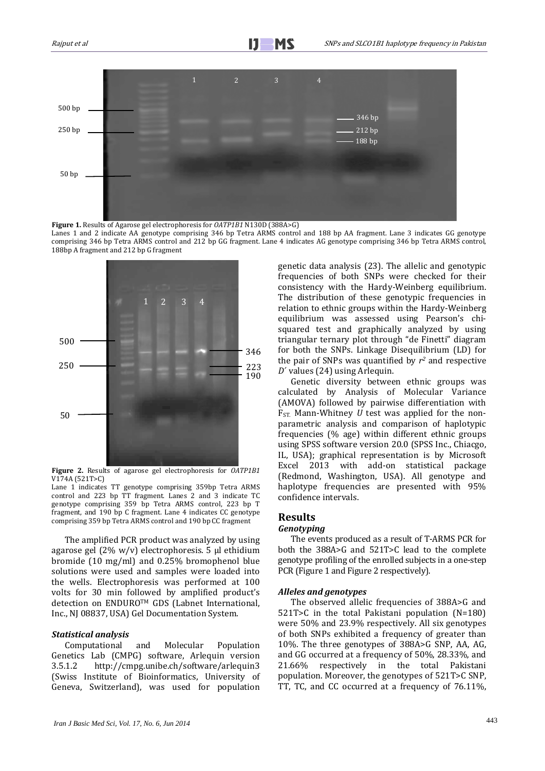

**Figure 1.** Results of Agarose gel electrophoresis for *OATP1B1* N130D (388A>G) Lanes 1 and 2 indicate AA genotype comprising 346 bp Tetra ARMS control and 188 bp AA fragment. Lane 3 indicates GG genotype comprising 346 bp Tetra ARMS control and 212 bp GG fragment. Lane 4 indicates AG genotype comprising 346 bp Tetra ARMS control, 188bp A fragment and 212 bp G fragment



**Figure 2.** Results of agarose gel electrophoresis for *OATP1B1* V174A (521T>C)

Lane 1 indicates TT genotype comprising 359bp Tetra ARMS control and 223 bp TT fragment. Lanes 2 and 3 indicate TC genotype comprising 359 bp Tetra ARMS control, 223 bp T fragment, and 190 bp C fragment. Lane 4 indicates CC genotype comprising 359 bp Tetra ARMS control and 190 bp CC fragment

The amplified PCR product was analyzed by using agarose gel (2% w/v) electrophoresis. 5 μl ethidium bromide (10 mg/ml) and 0.25% bromophenol blue solutions were used and samples were loaded into the wells. Electrophoresis was performed at 100 volts for 30 min followed by amplified product's detection on ENDUROTM GDS (Labnet International, Inc., NJ 08837, USA) Gel Documentation System.

### *Statistical analysis*

Computational and Molecular Population Genetics Lab (CMPG) software, Arlequin version 3.5.1.2 http://cmpg.unibe.ch/software/arlequin3 (Swiss Institute of Bioinformatics, University of Geneva, Switzerland), was used for population

genetic data analysis [\(23\)](#page-6-5). The allelic and genotypic frequencies of both SNPs were checked for their consistency with the Hardy-Weinberg equilibrium. The distribution of these genotypic frequencies in relation to ethnic groups within the Hardy-Weinberg equilibrium was assessed using Pearson's chisquared test and graphically analyzed by using triangular ternary plot through "de Finetti" diagram for both the SNPs. Linkage Disequilibrium (LD) for the pair of SNPs was quantified by *r2* and respective *D*´ values [\(24\)](#page-6-6) using Arlequin.

Genetic diversity between ethnic groups was calculated by Analysis of Molecular Variance (AMOVA) followed by pairwise differentiation with  $F_{ST}$  Mann-Whitney *U* test was applied for the nonparametric analysis and comparison of haplotypic frequencies (% age) within different ethnic groups using SPSS software version 20.0 (SPSS Inc., Chiacgo, IL, USA); graphical representation is by Microsoft Excel 2013 with add-on statistical package (Redmond, Washington, USA). All genotype and haplotype frequencies are presented with 95% confidence intervals.

## **Results**

#### *Genotyping*

The events produced as a result of T-ARMS PCR for both the 388A>G and 521T>C lead to the complete genotype profiling of the enrolled subjects in a one-step PCR (Figure 1 and Figure 2 respectively).

#### *Alleles and genotypes*

The observed allelic frequencies of 388A>G and 521T>C in the total Pakistani population (N=180) were 50% and 23.9% respectively. All six genotypes of both SNPs exhibited a frequency of greater than 10%. The three genotypes of 388A>G SNP, AA, AG, and GG occurred at a frequency of 50%, 28.33%, and 21.66% respectively in the total Pakistani population. Moreover, the genotypes of 521T>C SNP, TT, TC, and CC occurred at a frequency of 76.11%,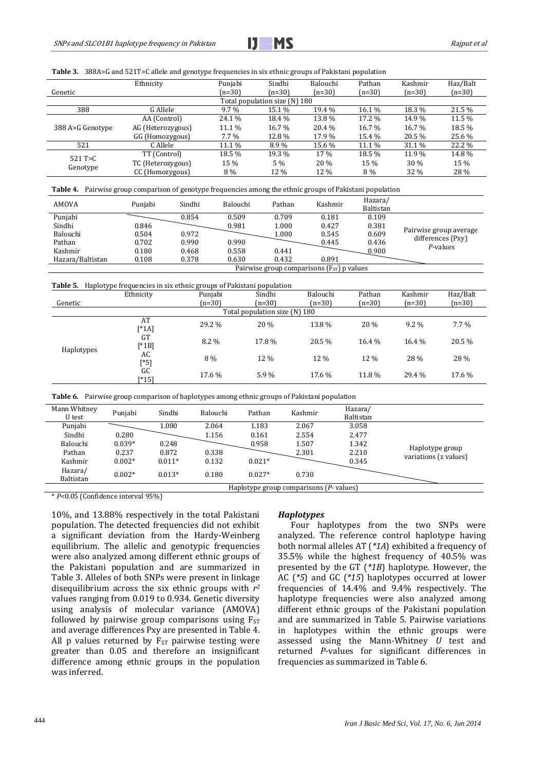

**Table 3.** 388A>G and 521T>C allele and genotype frequencies in six ethnic groups of Pakistani population

| Genetic                   | Ethnicity         | Punjabi<br>$(n=30)$ | Sindhi<br>$(n=30)$            | Balouchi<br>$(n=30)$ | Pathan<br>$(n=30)$ | Kashmir<br>$(n=30)$ | Haz/Balt<br>$(n=30)$ |
|---------------------------|-------------------|---------------------|-------------------------------|----------------------|--------------------|---------------------|----------------------|
|                           |                   |                     | Total population size (N) 180 |                      |                    |                     |                      |
| 388                       | G Allele          | $9.7\%$             | 15.1 %                        | 19.4 %               | 16.1 %             | 18.3%               | 21.5 %               |
| 388 A>G Genotype          | AA (Control)      | 24.1 %              | 18.4 %                        | 13.8%                | 17.2 %             | 14.9%               | 11.5 %               |
|                           | AG (Heterozygous) | 11.1 %              | 16.7 %                        | 20.4 %               | 16.7 %             | 16.7 %              | 18.5 %               |
|                           | GG (Homozygous)   | $7.7\%$             | 12.8%                         | 17.9%                | 15.4 %             | 20.5 %              | 25.6%                |
| 521                       | C Allele          | 11.1 %              | $8.9\%$                       | 15.6 %               | 11.1 %             | 31.1 %              | 22.2 %               |
| $521$ T $>$ C<br>Genotype | TT (Control)      | 18.5 %              | 19.3 %                        | 17 %                 | 18.5 %             | 11.9%               | 14.8%                |
|                           | TC (Heterozygous) | 15 %                | 5 %                           | 20 %                 | 15 %               | 30 %                | 15 %                 |
|                           | CC (Homozygous)   | 8 %                 | 12 %                          | 12 %                 | 8 %                | 32 %                | 28 %                 |

|  | Table 4. Pairwise group comparison of genotype frequencies among the ethnic groups of Pakistani population |  |  |  |
|--|------------------------------------------------------------------------------------------------------------|--|--|--|
|--|------------------------------------------------------------------------------------------------------------|--|--|--|

| AMOVA            | Puniabi                                        | Sindhi | Balouchi | Pathan | Kashmir | Hazara/<br>Baltistan |                                             |
|------------------|------------------------------------------------|--------|----------|--------|---------|----------------------|---------------------------------------------|
| Punjabi          |                                                | 0.854  | 0.509    | 0.709  | 0.181   | 0.109                |                                             |
| Sindhi           | 0.846                                          |        | 0.981    | 1.000  | 0.427   | 0.381                |                                             |
| Balouchi         | 0.504                                          | 0.972  |          | 1.000  | 0.545   | 0.609                | Pairwise group average<br>differences (Pxy) |
| Pathan           | 0.702                                          | 0.990  | 0.990    |        | 0.445   | 0.436                | P-values                                    |
| Kashmir          | 0.180                                          | 0.468  | 0.558    | 0.441  |         | 0.900                |                                             |
| Hazara/Baltistan | 0.108                                          | 0.378  | 0.630    | 0.432  | 0.891   |                      |                                             |
|                  | Pairwise group comparisons $(F_{ST})$ p values |        |          |        |         |                      |                                             |

#### **Table 5.** Haplotype frequencies in six ethnic groups of Pakistani population

|            | . .<br>Ethnicity      | Punjabi  | Sindhi                        | Balouchi | Pathan   | Kashmir  | Haz/Balt |
|------------|-----------------------|----------|-------------------------------|----------|----------|----------|----------|
| Genetic    |                       | $(n=30)$ | $(n=30)$                      | $(n=30)$ | $(n=30)$ | $(n=30)$ | $(n=30)$ |
|            |                       |          | Total population size (N) 180 |          |          |          |          |
| Haplotypes | AT<br>$[$ *1A]        | 29.2 %   | 20 %                          | 13.8%    | 20 %     | $9.2\%$  | $7.7\%$  |
|            | <b>GT</b><br>$[$ *1B] | 8.2%     | 17.8%                         | 20.5 %   | 16.4 %   | 16.4 %   | 20.5%    |
|            | AC<br>$[*5]$          | 8 %      | 12 %                          | 12 %     | 12 %     | 28 %     | 28 %     |
|            | GC<br>[*15]           | 17.6 %   | 5.9%                          | 17.6 %   | 11.8%    | 29.4 %   | 17.6 %   |

|  | <b>Table 6.</b> Pairwise group comparison of haplotypes among ethnic groups of Pakistani population |  |  |  |  |  |
|--|-----------------------------------------------------------------------------------------------------|--|--|--|--|--|
|--|-----------------------------------------------------------------------------------------------------|--|--|--|--|--|

| Mann Whitney<br>U test                  | Punjabi  | Sindhi   | Balouchi | Pathan   | Kashmir | Hazara/<br>Baltistan |                       |
|-----------------------------------------|----------|----------|----------|----------|---------|----------------------|-----------------------|
| Punjabi                                 |          | 1.080    | 2.064    | 1.183    | 2.067   | 3.058                |                       |
| Sindhi                                  | 0.280    |          | 1.156    | 0.161    | 2.554   | 2.477                |                       |
| Balouchi                                | $0.039*$ | 0.248    |          | 0.958    | 1.507   | 1.342                |                       |
| Pathan                                  | 0.237    | 0.872    | 0.338    |          | 2.301   | 2.210                | Haplotype group       |
| Kashmir                                 | $0.002*$ | $0.011*$ | 0.132    | $0.021*$ |         | 0.345                | variations (z values) |
| Hazara/<br>Baltistan                    | $0.002*$ | $0.013*$ | 0.180    | $0.027*$ | 0.730   |                      |                       |
| Haplotype group comparisons (P- values) |          |          |          |          |         |                      |                       |

\* *P*<0.05 (Confidence interval 95%)

10%, and 13.88% respectively in the total Pakistani population. The detected frequencies did not exhibit a significant deviation from the Hardy-Weinberg equilibrium. The allelic and genotypic frequencies were also analyzed among different ethnic groups of the Pakistani population and are summarized in Table 3. Alleles of both SNPs were present in linkage disequilibrium across the six ethnic groups with *r2* values ranging from 0.019 to 0.934. Genetic diversity using analysis of molecular variance (AMOVA) followed by pairwise group comparisons using  $F_{ST}$ and average differences Pxy are presented in Table 4. All p values returned by  $F_{ST}$  pairwise testing were greater than 0.05 and therefore an insignificant difference among ethnic groups in the population was inferred.

## *Haplotypes*

Four haplotypes from the two SNPs were analyzed. The reference control haplotype having both normal alleles AT (*\*1A*) exhibited a frequency of 35.5% while the highest frequency of 40.5% was presented by the GT (*\*1B*) haplotype. However, the AC (*\*5*) and GC (*\*15*) haplotypes occurred at lower frequencies of 14.4% and 9.4% respectively. The haplotype frequencies were also analyzed among different ethnic groups of the Pakistani population and are summarized in Table 5. Pairwise variations in haplotypes within the ethnic groups were assessed using the Mann-Whitney *U* test and returned *P*-values for significant differences in frequencies as summarized in Table 6.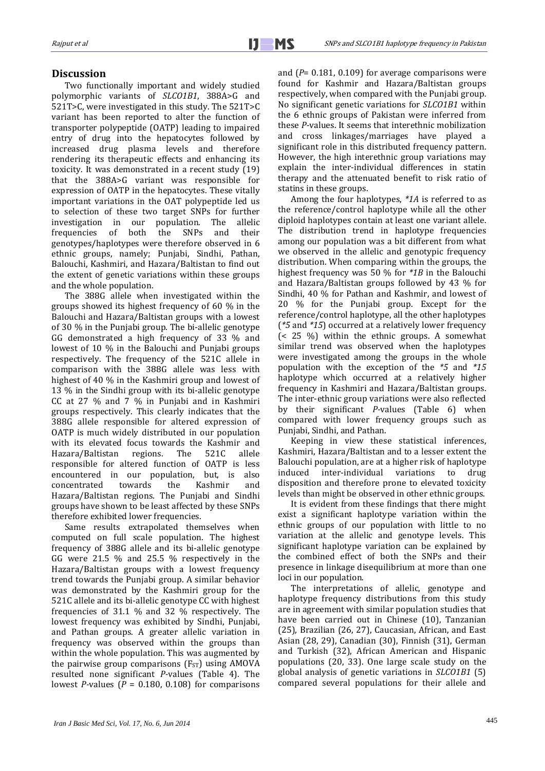## **Discussion**

Two functionally important and widely studied polymorphic variants of *SLCO1B1*, 388A>G and 521T>C, were investigated in this study. The 521T>C variant has been reported to alter the function of transporter polypeptide (OATP) leading to impaired entry of drug into the hepatocytes followed by increased drug plasma levels and therefore rendering its therapeutic effects and enhancing its toxicity. It was demonstrated in a recent study [\(19\)](#page-6-1) that the 388A>G variant was responsible for expression of OATP in the hepatocytes. These vitally important variations in the OAT polypeptide led us to selection of these two target SNPs for further<br>investigation in our population. The allelic investigation in our population. The allelic frequencies of both the SNPs and their frequencies of both the SNPs and their genotypes/haplotypes were therefore observed in 6 ethnic groups, namely; Punjabi, Sindhi, Pathan, Balouchi, Kashmiri, and Hazara/Baltistan to find out the extent of genetic variations within these groups and the whole population.

The 388G allele when investigated within the groups showed its highest frequency of 60 % in the Balouchi and Hazara/Baltistan groups with a lowest of 30 % in the Punjabi group. The bi-allelic genotype GG demonstrated a high frequency of 33 % and lowest of 10 % in the Balouchi and Punjabi groups respectively. The frequency of the 521C allele in comparison with the 388G allele was less with highest of 40 % in the Kashmiri group and lowest of 13 % in the Sindhi group with its bi-allelic genotype CC at 27 % and 7 % in Punjabi and in Kashmiri groups respectively. This clearly indicates that the 388G allele responsible for altered expression of OATP is much widely distributed in our population with its elevated focus towards the Kashmir and<br>Hazara/Baltistan regions. The 521C allele Hazara/Baltistan responsible for altered function of OATP is less encountered in our population, but, is also concentrated towards the Kashmir and Hazara/Baltistan regions. The Punjabi and Sindhi groups have shown to be least affected by these SNPs therefore exhibited lower frequencies.

Same results extrapolated themselves when computed on full scale population. The highest frequency of 388G allele and its bi-allelic genotype GG were 21.5 % and 25.5 % respectively in the Hazara/Baltistan groups with a lowest frequency trend towards the Punjabi group. A similar behavior was demonstrated by the Kashmiri group for the 521C allele and its bi-allelic genotype CC with highest frequencies of 31.1 % and 32 % respectively. The lowest frequency was exhibited by Sindhi, Punjabi, and Pathan groups. A greater allelic variation in frequency was observed within the groups than within the whole population. This was augmented by the pairwise group comparisons  $(F_{ST})$  using AMOVA resulted none significant *P-*values (Table 4). The lowest *P*-values ( $P = 0.180, 0.108$ ) for comparisons and (*P*= 0.181, 0.109) for average comparisons were found for Kashmir and Hazara/Baltistan groups respectively, when compared with the Punjabi group. No significant genetic variations for *SLCO1B1* within the 6 ethnic groups of Pakistan were inferred from these *P-*values. It seems that interethnic mobilization and cross linkages/marriages have played a significant role in this distributed frequency pattern. However, the high interethnic group variations may explain the inter-individual differences in statin therapy and the attenuated benefit to risk ratio of statins in these groups.

Among the four haplotypes, *\*1A* is referred to as the reference/control haplotype while all the other diploid haplotypes contain at least one variant allele. The distribution trend in haplotype frequencies among our population was a bit different from what we observed in the allelic and genotypic frequency distribution. When comparing within the groups, the highest frequency was 50 % for *\*1B* in the Balouchi and Hazara/Baltistan groups followed by 43 % for Sindhi, 40 % for Pathan and Kashmir, and lowest of 20 % for the Punjabi group. Except for the reference/control haplotype, all the other haplotypes (*\*5* and *\*15*) occurred at a relatively lower frequency (< 25 %) within the ethnic groups. A somewhat similar trend was observed when the haplotypes were investigated among the groups in the whole population with the exception of the *\*5* and *\*15* haplotype which occurred at a relatively higher frequency in Kashmiri and Hazara/Baltistan groups. The inter-ethnic group variations were also reflected by their significant *P-*values (Table 6) when compared with lower frequency groups such as Punjabi, Sindhi, and Pathan.

Keeping in view these statistical inferences, Kashmiri, Hazara/Baltistan and to a lesser extent the Balouchi population, are at a higher risk of haplotype induced inter-individual variations disposition and therefore prone to elevated toxicity levels than might be observed in other ethnic groups.

It is evident from these findings that there might exist a significant haplotype variation within the ethnic groups of our population with little to no variation at the allelic and genotype levels. This significant haplotype variation can be explained by the combined effect of both the SNPs and their presence in linkage disequilibrium at more than one loci in our population.

The interpretations of allelic, genotype and haplotype frequency distributions from this study are in agreement with similar population studies that have been carried out in Chinese (10), Tanzanian [\(25\)](#page-6-7), Brazilian [\(26,](#page-6-8) [27\)](#page-6-9), Caucasian, African, and East Asian [\(28,](#page-6-10) [29\)](#page-6-11), Canadian [\(30\)](#page-6-12), Finnish [\(31\)](#page-6-13), German and Turkish [\(32\)](#page-6-14), African American and Hispanic populations [\(20,](#page-6-2) [33\)](#page-6-15). One large scale study on the global analysis of genetic variations in *SLCO1B1* (5) compared several populations for their allele and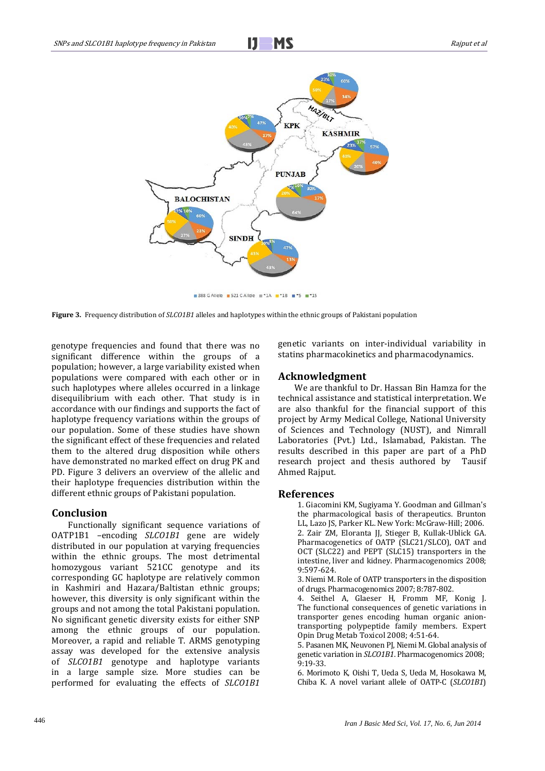Ī



388 GAllele 521 CAllele #\*1A \*\*1B #\*5 #\*15

**Figure 3.** Frequency distribution of *SLCO1B1* alleles and haplotypes within the ethnic groups of Pakistani population

genotype frequencies and found that there was no significant difference within the groups of a population; however, a large variability existed when populations were compared with each other or in such haplotypes where alleles occurred in a linkage disequilibrium with each other. That study is in accordance with our findings and supports the fact of haplotype frequency variations within the groups of our population. Some of these studies have shown the significant effect of these frequencies and related them to the altered drug disposition while others have demonstrated no marked effect on drug PK and PD. Figure 3 delivers an overview of the allelic and their haplotype frequencies distribution within the different ethnic groups of Pakistani population.

## **Conclusion**

Functionally significant sequence variations of OATP1B1 –encoding *SLCO1B1* gene are widely distributed in our population at varying frequencies within the ethnic groups. The most detrimental homozygous variant 521CC genotype and its corresponding GC haplotype are relatively common in Kashmiri and Hazara/Baltistan ethnic groups; however, this diversity is only significant within the groups and not among the total Pakistani population. No significant genetic diversity exists for either SNP among the ethnic groups of our population. Moreover, a rapid and reliable T. ARMS genotyping assay was developed for the extensive analysis of *SLCO1B1* genotype and haplotype variants in a large sample size. More studies can be performed for evaluating the effects of *SLCO1B1*

genetic variants on inter-individual variability in statins pharmacokinetics and pharmacodynamics.

## **Acknowledgment**

We are thankful to Dr. Hassan Bin Hamza for the technical assistance and statistical interpretation. We are also thankful for the financial support of this project by Army Medical College, National University of Sciences and Technology (NUST), and Nimrall Laboratories (Pvt.) Ltd., Islamabad, Pakistan. The results described in this paper are part of a PhD research project and thesis authored by Tausif Ahmed Rajput.

#### **References**

1. Giacomini KM, Sugiyama Y. Goodman and Gillman's the pharmacological basis of therapeutics. Brunton LL, Lazo JS, Parker KL. New York: McGraw-Hill; 2006. 2. Zair ZM, Eloranta JJ, Stieger B, Kullak-Ublick GA. Pharmacogenetics of OATP (SLC21/SLCO), OAT and OCT (SLC22) and PEPT (SLC15) transporters in the intestine, liver and kidney. Pharmacogenomics 2008; 9:597-624.

3. Niemi M. Role of OATP transporters in the disposition of drugs. Pharmacogenomics 2007; 8:787-802.

4. Seithel A, Glaeser H, Fromm MF, Konig J. The functional consequences of genetic variations in transporter genes encoding human organic aniontransporting polypeptide family members. Expert Opin Drug Metab Toxicol 2008; 4:51-64.

5. Pasanen MK, Neuvonen PJ, Niemi M. Global analysis of genetic variation in *SLCO1B1*. Pharmacogenomics 2008; 9:19-33.

6. Morimoto K, Oishi T, Ueda S, Ueda M, Hosokawa M, Chiba K. A novel variant allele of OATP-C (*SLCO1B1*)